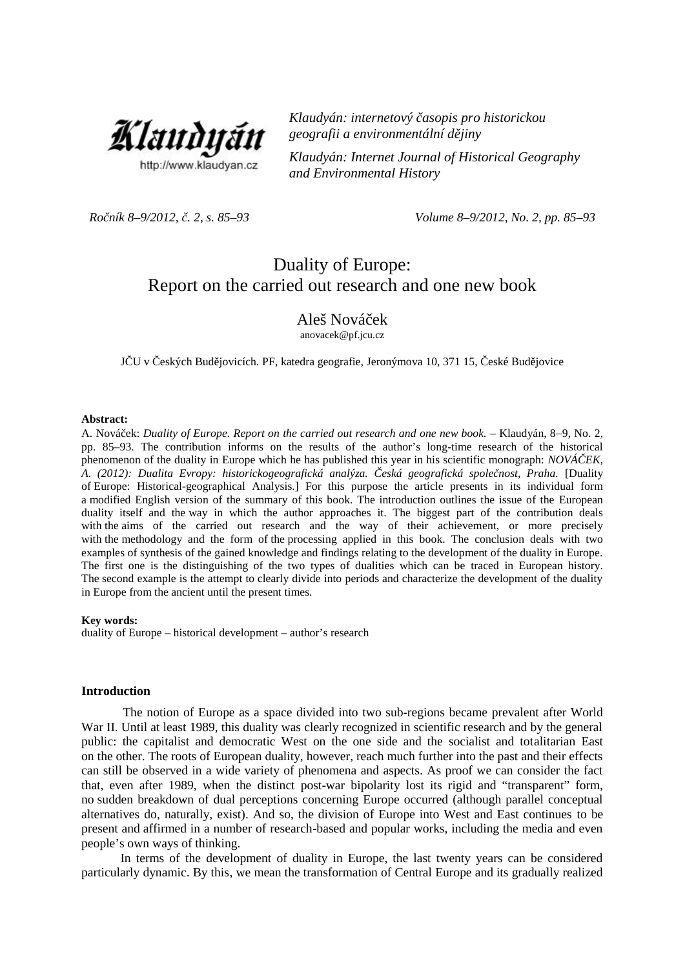

*Klaudyán: internetový časopis pro historickou geografii a environmentální dějiny*

*Klaudyán: Internet Journal of Historical Geography and Environmental History*

*Ročník 8–9/2012, č. 2, s. 85–93 Volume 8–9/2012, No. 2, pp. 85–93*

# Duality of Europe: Report on the carried out research and one new book

## Aleš Nováček

anovacek@pf.jcu.cz

J–U v eských Bud jovicích. PF, katedra geografie, Jeronýmova 10, 371 15, eské Bud jovice

#### **Abstract:**

A. Nováček: *Duality of Europe. Report on the carried out research and one new book.* – Klaudyán, 8*–*9, No. 2, pp. 85–93. The contribution informs on the results of the author's long-time research of the historical phenomenon of the duality in Europe which he has published this year in his scientific monograph: *NOVÁ EK*, *A. (2012): Dualita Evropy: historickogeografická analýza. Česká geografická společnost, Praha.* [Duality of Europe: Historical-geographical Analysis.] For this purpose the article presents in its individual form a modified English version of the summary of this book. The introduction outlines the issue of the European duality itself and the way in which the author approaches it. The biggest part of the contribution deals with the aims of the carried out research and the way of their achievement, or more precisely with the methodology and the form of the processing applied in this book. The conclusion deals with two examples of synthesis of the gained knowledge and findings relating to the development of the duality in Europe. The first one is the distinguishing of the two types of dualities which can be traced in European history. The second example is the attempt to clearly divide into periods and characterize the development of the duality in Europe from the ancient until the present times.

#### **Key words:**

duality of Europe – historical development – author's research

#### **Introduction**

The notion of Europe as a space divided into two sub-regions became prevalent after World War II. Until at least 1989, this duality was clearly recognized in scientific research and by the general public: the capitalist and democratic West on the one side and the socialist and totalitarian East on the other. The roots of European duality, however, reach much further into the past and their effects can still be observed in a wide variety of phenomena and aspects. As proof we can consider the fact that, even after 1989, when the distinct post-war bipolarity lost its rigid and "transparent" form, no sudden breakdown of dual perceptions concerning Europe occurred (although parallel conceptual alternatives do, naturally, exist). And so, the division of Europe into West and East continues to be present and affirmed in a number of research-based and popular works, including the media and even people's own ways of thinking.

In terms of the development of duality in Europe, the last twenty years can be considered particularly dynamic. By this, we mean the transformation of Central Europe and its gradually realized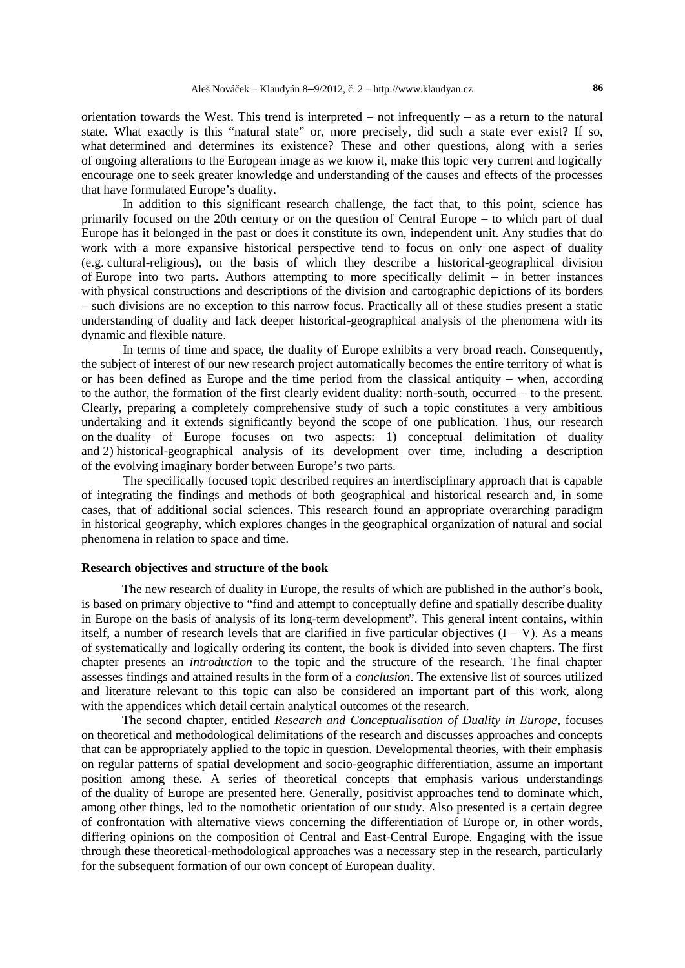orientation towards the West. This trend is interpreted – not infrequently – as a return to the natural state. What exactly is this "natural state" or, more precisely, did such a state ever exist? If so, what determined and determines its existence? These and other questions, along with a series of ongoing alterations to the European image as we know it, make this topic very current and logically encourage one to seek greater knowledge and understanding of the causes and effects of the processes that have formulated Europe's duality.

In addition to this significant research challenge, the fact that, to this point, science has primarily focused on the 20th century or on the question of Central Europe – to which part of dual Europe has it belonged in the past or does it constitute its own, independent unit. Any studies that do work with a more expansive historical perspective tend to focus on only one aspect of duality (e.g. cultural-religious), on the basis of which they describe a historical-geographical division of Europe into two parts. Authors attempting to more specifically delimit – in better instances with physical constructions and descriptions of the division and cartographic depictions of its borders – such divisions are no exception to this narrow focus. Practically all of these studies present a static understanding of duality and lack deeper historical-geographical analysis of the phenomena with its dynamic and flexible nature.

In terms of time and space, the duality of Europe exhibits a very broad reach. Consequently, the subject of interest of our new research project automatically becomes the entire territory of what is or has been defined as Europe and the time period from the classical antiquity – when, according to the author, the formation of the first clearly evident duality: north-south, occurred – to the present. Clearly, preparing a completely comprehensive study of such a topic constitutes a very ambitious undertaking and it extends significantly beyond the scope of one publication. Thus, our research on the duality of Europe focuses on two aspects: 1) conceptual delimitation of duality and 2) historical-geographical analysis of its development over time, including a description of the evolving imaginary border between Europe's two parts.

The specifically focused topic described requires an interdisciplinary approach that is capable of integrating the findings and methods of both geographical and historical research and, in some cases, that of additional social sciences. This research found an appropriate overarching paradigm in historical geography, which explores changes in the geographical organization of natural and social phenomena in relation to space and time.

#### **Research objectives and structure of the book**

The new research of duality in Europe, the results of which are published in the author's book, is based on primary objective to "find and attempt to conceptually define and spatially describe duality in Europe on the basis of analysis of its long-term development". This general intent contains, within itself, a number of research levels that are clarified in five particular objectives  $(I - V)$ . As a means of systematically and logically ordering its content, the book is divided into seven chapters. The first chapter presents an *introduction* to the topic and the structure of the research. The final chapter assesses findings and attained results in the form of a *conclusion*. The extensive list of sources utilized and literature relevant to this topic can also be considered an important part of this work, along with the appendices which detail certain analytical outcomes of the research.

The second chapter, entitled *Research and Conceptualisation of Duality in Europe*, focuses on theoretical and methodological delimitations of the research and discusses approaches and concepts that can be appropriately applied to the topic in question. Developmental theories, with their emphasis on regular patterns of spatial development and socio-geographic differentiation, assume an important position among these. A series of theoretical concepts that emphasis various understandings of the duality of Europe are presented here. Generally, positivist approaches tend to dominate which, among other things, led to the nomothetic orientation of our study. Also presented is a certain degree of confrontation with alternative views concerning the differentiation of Europe or, in other words, differing opinions on the composition of Central and East-Central Europe. Engaging with the issue through these theoretical-methodological approaches was a necessary step in the research, particularly for the subsequent formation of our own concept of European duality.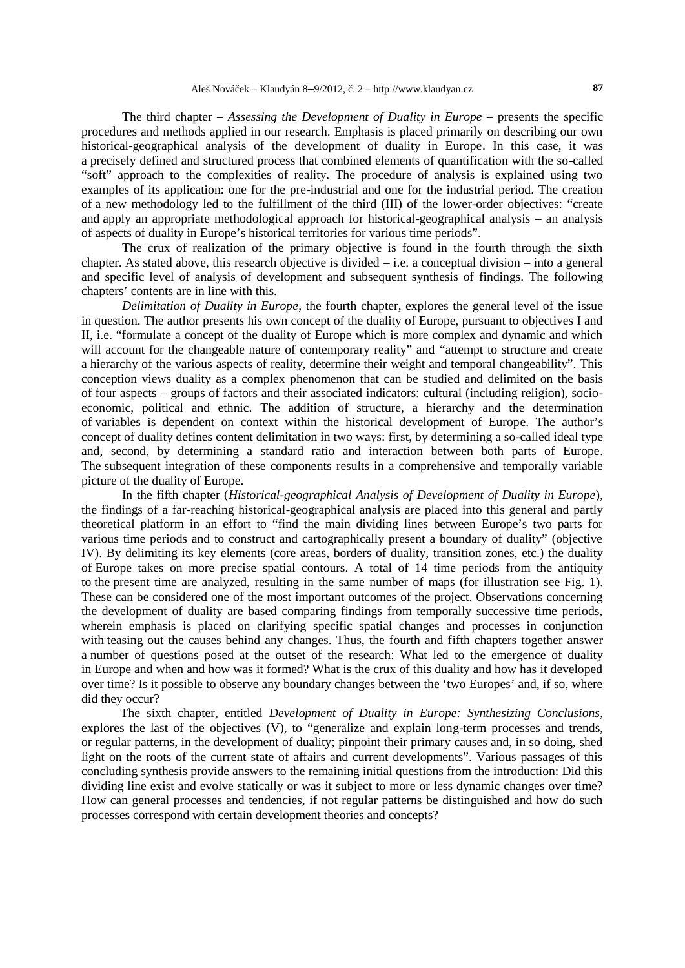The third chapter – *Assessing the Development of Duality in Europe* – presents the specific procedures and methods applied in our research. Emphasis is placed primarily on describing our own historical-geographical analysis of the development of duality in Europe. In this case, it was a precisely defined and structured process that combined elements of quantification with the so-called "soft" approach to the complexities of reality. The procedure of analysis is explained using two examples of its application: one for the pre-industrial and one for the industrial period. The creation of a new methodology led to the fulfillment of the third (III) of the lower-order objectives: "create and apply an appropriate methodological approach for historical-geographical analysis – an analysis of aspects of duality in Europe's historical territories for various time periods".

The crux of realization of the primary objective is found in the fourth through the sixth chapter. As stated above, this research objective is divided – i.e. a conceptual division – into a general and specific level of analysis of development and subsequent synthesis of findings. The following chapters' contents are in line with this.

*Delimitation of Duality in Europe*, the fourth chapter, explores the general level of the issue in question. The author presents his own concept of the duality of Europe, pursuant to objectives I and II, i.e. "formulate a concept of the duality of Europe which is more complex and dynamic and which will account for the changeable nature of contemporary reality" and "attempt to structure and create a hierarchy of the various aspects of reality, determine their weight and temporal changeability". This conception views duality as a complex phenomenon that can be studied and delimited on the basis of four aspects – groups of factors and their associated indicators: cultural (including religion), socio economic, political and ethnic. The addition of structure, a hierarchy and the determination of variables is dependent on context within the historical development of Europe. The author's concept of duality defines content delimitation in two ways: first, by determining a so-called ideal type and, second, by determining a standard ratio and interaction between both parts of Europe. The subsequent integration of these components results in a comprehensive and temporally variable picture of the duality of Europe.

In the fifth chapter (*Historical-geographical Analysis of Development of Duality in Europe*), the findings of a far-reaching historical-geographical analysis are placed into this general and partly theoretical platform in an effort to "find the main dividing lines between Europe's two parts for various time periods and to construct and cartographically present a boundary of duality" (objective IV). By delimiting its key elements (core areas, borders of duality, transition zones, etc.) the duality of Europe takes on more precise spatial contours. A total of 14 time periods from the antiquity to the present time are analyzed, resulting in the same number of maps (for illustration see Fig. 1). These can be considered one of the most important outcomes of the project. Observations concerning the development of duality are based comparing findings from temporally successive time periods, wherein emphasis is placed on clarifying specific spatial changes and processes in conjunction with teasing out the causes behind any changes. Thus, the fourth and fifth chapters together answer a number of questions posed at the outset of the research: What led to the emergence of duality in Europe and when and how was it formed? What is the crux of this duality and how has it developed over time? Is it possible to observe any boundary changes between the 'two Europes' and, if so, where did they occur?

The sixth chapter, entitled *Development of Duality in Europe: Synthesizing Conclusions*, explores the last of the objectives (V), to "generalize and explain long-term processes and trends, or regular patterns, in the development of duality; pinpoint their primary causes and, in so doing, shed light on the roots of the current state of affairs and current developments". Various passages of this concluding synthesis provide answers to the remaining initial questions from the introduction: Did this dividing line exist and evolve statically or was it subject to more or less dynamic changes over time? How can general processes and tendencies, if not regular patterns be distinguished and how do such processes correspond with certain development theories and concepts?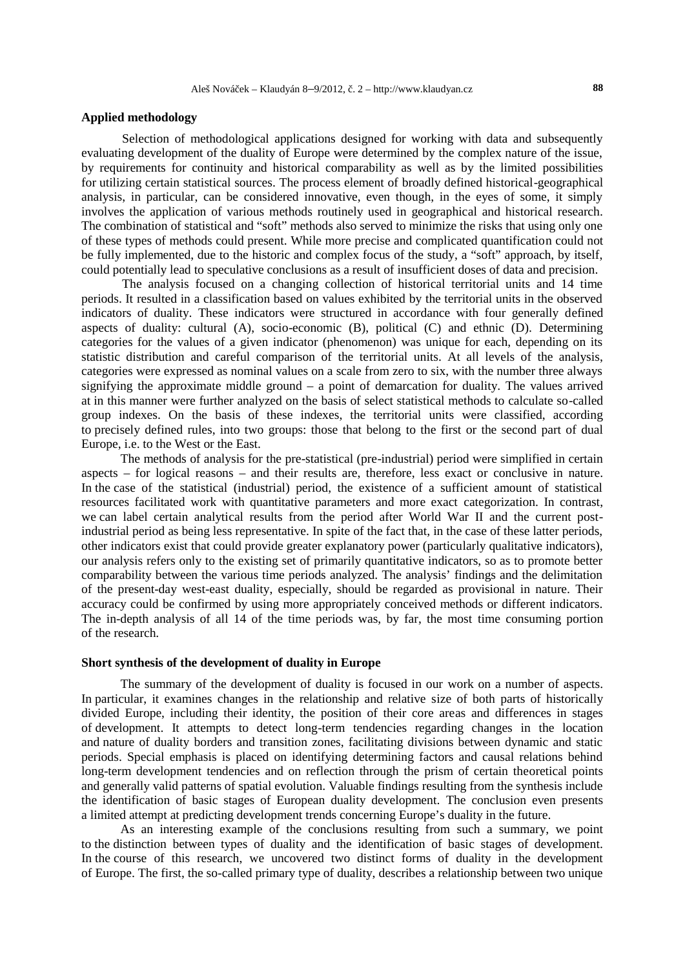#### **Applied methodology**

Selection of methodological applications designed for working with data and subsequently evaluating development of the duality of Europe were determined by the complex nature of the issue, by requirements for continuity and historical comparability as well as by the limited possibilities for utilizing certain statistical sources. The process element of broadly defined historical-geographical analysis, in particular, can be considered innovative, even though, in the eyes of some, it simply involves the application of various methods routinely used in geographical and historical research. The combination of statistical and "soft" methods also served to minimize the risks that using only one of these types of methods could present. While more precise and complicated quantification could not be fully implemented, due to the historic and complex focus of the study, a "soft" approach, by itself, could potentially lead to speculative conclusions as a result of insufficient doses of data and precision.

The analysis focused on a changing collection of historical territorial units and 14 time periods. It resulted in a classification based on values exhibited by the territorial units in the observed indicators of duality. These indicators were structured in accordance with four generally defined aspects of duality: cultural (A), socio-economic (B), political (C) and ethnic (D). Determining categories for the values of a given indicator (phenomenon) was unique for each, depending on its statistic distribution and careful comparison of the territorial units. At all levels of the analysis, categories were expressed as nominal values on a scale from zero to six, with the number three always signifying the approximate middle ground – a point of demarcation for duality. The values arrived at in this manner were further analyzed on the basis of select statistical methods to calculate so-called group indexes. On the basis of these indexes, the territorial units were classified, according to precisely defined rules, into two groups: those that belong to the first or the second part of dual Europe, i.e. to the West or the East.

The methods of analysis for the pre-statistical (pre-industrial) period were simplified in certain aspects – for logical reasons – and their results are, therefore, less exact or conclusive in nature. In the case of the statistical (industrial) period, the existence of a sufficient amount of statistical resources facilitated work with quantitative parameters and more exact categorization. In contrast, we can label certain analytical results from the period after World War II and the current postindustrial period as being less representative. In spite of the fact that, in the case of these latter periods, other indicators exist that could provide greater explanatory power (particularly qualitative indicators), our analysis refers only to the existing set of primarily quantitative indicators, so as to promote better comparability between the various time periods analyzed. The analysis' findings and the delimitation of the present-day west-east duality, especially, should be regarded as provisional in nature. Their accuracy could be confirmed by using more appropriately conceived methods or different indicators. The in-depth analysis of all 14 of the time periods was, by far, the most time consuming portion of the research.

### **Short synthesis of the development of duality in Europe**

The summary of the development of duality is focused in our work on a number of aspects. In particular, it examines changes in the relationship and relative size of both parts of historically divided Europe, including their identity, the position of their core areas and differences in stages of development. It attempts to detect long-term tendencies regarding changes in the location and nature of duality borders and transition zones, facilitating divisions between dynamic and static periods. Special emphasis is placed on identifying determining factors and causal relations behind long-term development tendencies and on reflection through the prism of certain theoretical points and generally valid patterns of spatial evolution. Valuable findings resulting from the synthesis include the identification of basic stages of European duality development. The conclusion even presents a limited attempt at predicting development trends concerning Europe's duality in the future.

As an interesting example of the conclusions resulting from such a summary, we point to the distinction between types of duality and the identification of basic stages of development. In the course of this research, we uncovered two distinct forms of duality in the development of Europe. The first, the so-called primary type of duality, describes a relationship between two unique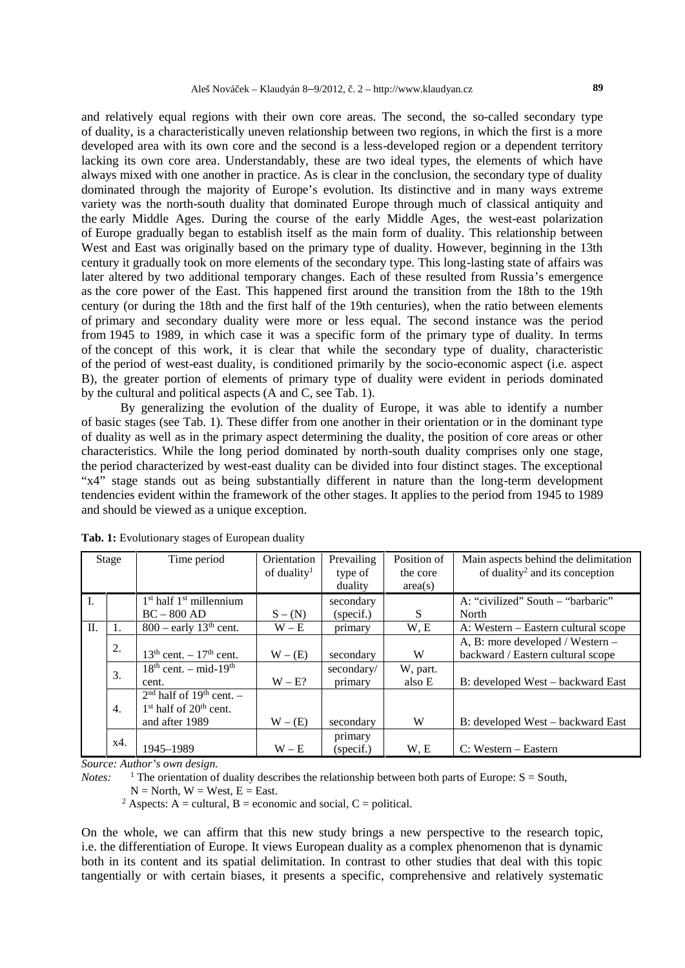and relatively equal regions with their own core areas. The second, the so-called secondary type of duality, is a characteristically uneven relationship between two regions, in which the first is a more developed area with its own core and the second is a less-developed region or a dependent territory lacking its own core area. Understandably, these are two ideal types, the elements of which have always mixed with one another in practice. As is clear in the conclusion, the secondary type of duality dominated through the majority of Europe's evolution. Its distinctive and in many ways extreme variety was the north-south duality that dominated Europe through much of classical antiquity and the early Middle Ages. During the course of the early Middle Ages, the west-east polarization of Europe gradually began to establish itself as the main form of duality. This relationship between West and East was originally based on the primary type of duality. However, beginning in the 13th century it gradually took on more elements of the secondary type. This long-lasting state of affairs was later altered by two additional temporary changes. Each of these resulted from Russia's emergence as the core power of the East. This happened first around the transition from the 18th to the 19th century (or during the 18th and the first half of the 19th centuries), when the ratio between elements of primary and secondary duality were more or less equal. The second instance was the period from 1945 to 1989, in which case it was a specific form of the primary type of duality. In terms of the concept of this work, it is clear that while the secondary type of duality, characteristic of the period of west-east duality, is conditioned primarily by the socio-economic aspect (i.e. aspect B), the greater portion of elements of primary type of duality were evident in periods dominated by the cultural and political aspects (A and C, see Tab. 1).

By generalizing the evolution of the duality of Europe, it was able to identify a number of basic stages (see Tab. 1). These differ from one another in their orientation or in the dominant type of duality as well as in the primary aspect determining the duality, the position of core areas or other characteristics. While the long period dominated by north-south duality comprises only one stage, the period characterized by west-east duality can be divided into four distinct stages. The exceptional "x4" stage stands out as being substantially different in nature than the long-term development tendencies evident within the framework of the other stages. It applies to the period from 1945 to 1989 and should be viewed as a unique exception.

| Stage           |                  | Time period                            | Orientation             | Prevailing | Position of | Main aspects behind the delimitation       |
|-----------------|------------------|----------------------------------------|-------------------------|------------|-------------|--------------------------------------------|
|                 |                  |                                        | of duality <sup>1</sup> | type of    | the core    | of duality <sup>2</sup> and its conception |
|                 |                  |                                        |                         | duality    | area(s)     |                                            |
| $\mathbf{I}$ .  |                  | $1st$ half $1st$ millennium            |                         | secondary  |             | A: "civilized" South – "barbaric"          |
|                 |                  | $BC - 800 AD$                          | $S - (N)$               | (specif.)  | S           | North                                      |
| $\mathbf{II}$ . |                  | $800$ – early 13 <sup>th</sup> cent.   | $W - E$                 | primary    | W, E        | A: Western – Eastern cultural scope        |
|                 | 2.               |                                        |                         |            |             | A, B: more developed / Western –           |
|                 |                  | $13^{th}$ cent. $-17^{th}$ cent.       | $W - (E)$               | secondary  | W           | backward / Eastern cultural scope          |
|                 | 3.               | $18th$ cent. – mid- $19th$             |                         | secondary/ | W, part.    |                                            |
|                 |                  | cent.                                  | $W - E?$                | primary    | also E      | B: developed West – backward East          |
|                 | $\overline{4}$ . | $2nd$ half of 19 <sup>th</sup> cent. - |                         |            |             |                                            |
|                 |                  | $1st$ half of $20th$ cent.             |                         |            |             |                                            |
|                 |                  | and after 1989                         | $W - (E)$               | secondary  | W           | B: developed West – backward East          |
|                 |                  |                                        |                         | primary    |             |                                            |
|                 | x4.              | 1945-1989                              | $W - E$                 | (specif.)  | W, E        | $C: Western - Eastern$                     |

**Tab. 1:** Evolutionary stages of European duality

*Source: Author's own design.*

*Notes:* <sup>1</sup> The orientation of duality describes the relationship between both parts of Europe:  $S =$  South,

 $N = North$ ,  $W = West$ ,  $E = East$ .

<sup>2</sup> Aspects: A = cultural, B = economic and social, C = political.

On the whole, we can affirm that this new study brings a new perspective to the research topic, i.e. the differentiation of Europe. It views European duality as a complex phenomenon that is dynamic both in its content and its spatial delimitation. In contrast to other studies that deal with this topic tangentially or with certain biases, it presents a specific, comprehensive and relatively systematic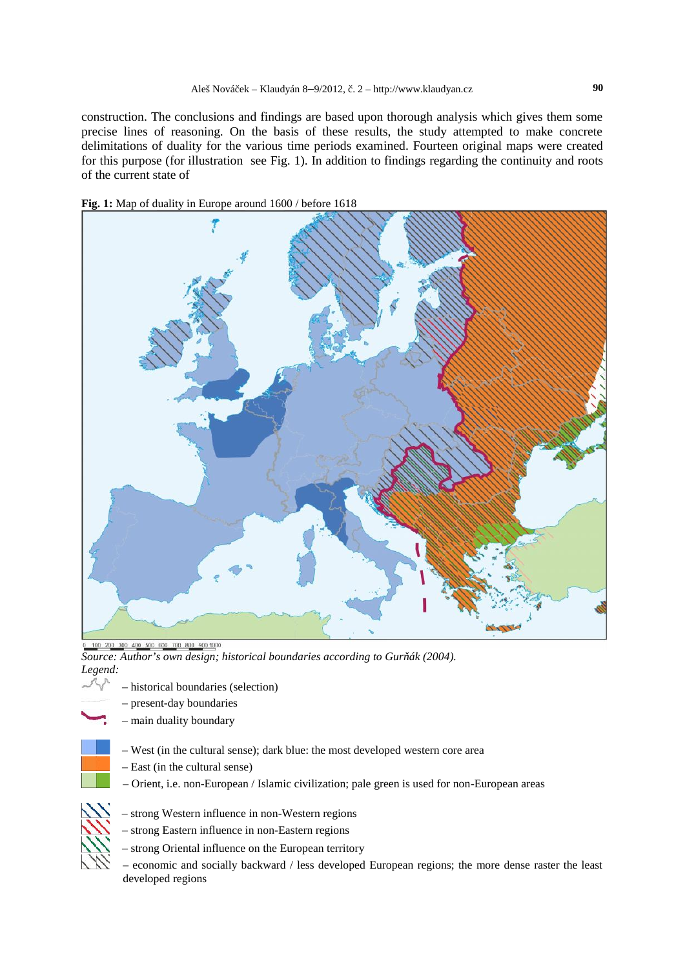construction. The conclusions and findings are based upon thorough analysis which gives them some precise lines of reasoning. On the basis of these results, the study attempted to make concrete delimitations of duality for the various time periods examined. Fourteen original maps were created for this purpose (for illustration see Fig. 1). In addition to findings regarding the continuity and roots of the current state of





0 100 200 300 400 500 600 700 800 900 1000 *Source: Author's own design; historical boundaries according to Gur ák (2004). Legend:*

- - present-day boundaries
	- main duality boundary
	- West (in the cultural sense); dark blue: the most developed western core area
	- East (in the cultural sense)

– historical boundaries (selection)

– Orient, i.e. non-European / Islamic civilization; pale green is used for non-European areas



- strong Western influence in non-Western regions – strong Eastern influence in non-Eastern regions
- strong Oriental influence on the European territory
- economic and socially backward / less developed European regions; the more dense raster the least developed regions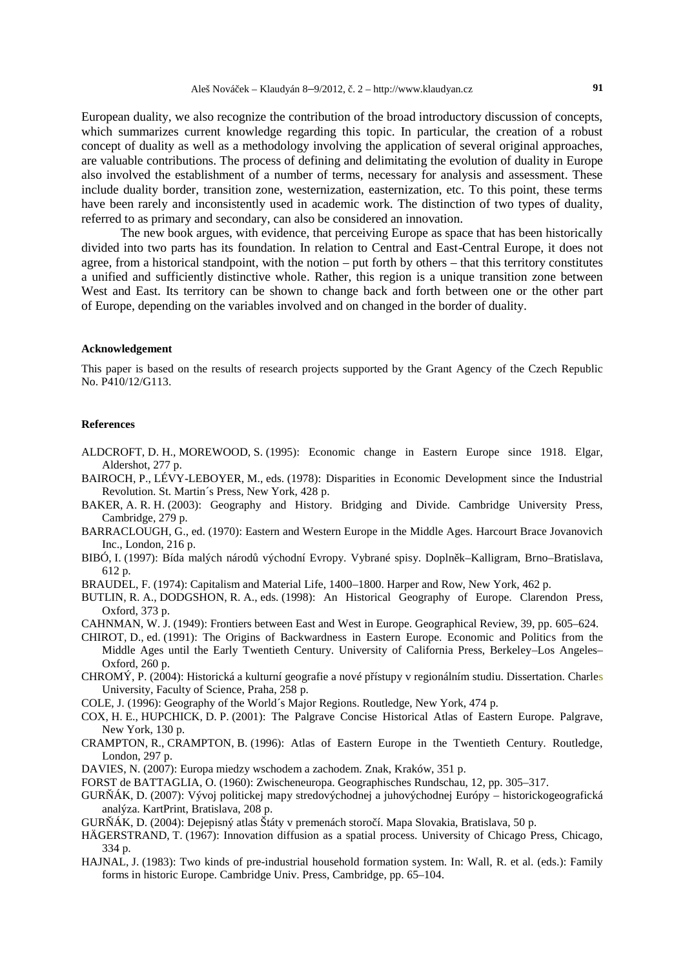European duality, we also recognize the contribution of the broad introductory discussion of concepts, which summarizes current knowledge regarding this topic. In particular, the creation of a robust concept of duality as well as a methodology involving the application of several original approaches, are valuable contributions. The process of defining and delimitating the evolution of duality in Europe also involved the establishment of a number of terms, necessary for analysis and assessment. These include duality border, transition zone, westernization, easternization, etc. To this point, these terms have been rarely and inconsistently used in academic work. The distinction of two types of duality, referred to as primary and secondary, can also be considered an innovation.

The new book argues, with evidence, that perceiving Europe as space that has been historically divided into two parts has its foundation. In relation to Central and East-Central Europe, it does not agree, from a historical standpoint, with the notion – put forth by others – that this territory constitutes a unified and sufficiently distinctive whole. Rather, this region is a unique transition zone between West and East. Its territory can be shown to change back and forth between one or the other part of Europe, depending on the variables involved and on changed in the border of duality.

#### **Acknowledgement**

This paper is based on the results of research projects supported by the Grant Agency of the Czech Republic No. P410/12/G113.

#### **References**

- ALDCROFT, D. H., MOREWOOD, S. (1995): Economic change in Eastern Europe since 1918. Elgar, Aldershot, 277 p.
- BAIROCH, P., LÉVY-LEBOYER, M., eds. (1978): Disparities in Economic Development since the Industrial Revolution. St. Martin´s Press, New York, 428 p.
- BAKER, A. R. H. (2003): Geography and History. Bridging and Divide. Cambridge University Press, Cambridge, 279 p.
- BARRACLOUGH, G., ed. (1970): Eastern and Western Europe in the Middle Ages. Harcourt Brace Jovanovich Inc., London, 216 p.

BIBÓ, I. (1997): Bída malých národ východní Evropy. Vybrané spisy. Dopln k–Kalligram, Brno–Bratislava, 612 p.

- BRAUDEL, F. (1974): Capitalism and Material Life, 1400–1800. Harper and Row, New York, 462 p.
- BUTLIN, R. A., DODGSHON, R. A., eds. (1998): An Historical Geography of Europe. Clarendon Press, Oxford, 373 p.
- CAHNMAN, W. J. (1949): Frontiers between East and West in Europe. Geographical Review, 39, pp. 605–624.
- CHIROT, D., ed. (1991): The Origins of Backwardness in Eastern Europe. Economic and Politics from the Middle Ages until the Early Twentieth Century. University of California Press, Berkeley–Los Angeles– Oxford, 260 p.
- CHROMÝ, P. (2004): Historická a kulturní geografie a nové přístupy v regionálním studiu. Dissertation. Charles University, Faculty of Science, Praha, 258 p.
- COLE, J. (1996): Geography of the World´s Major Regions. Routledge, New York, 474 p.
- COX, H. E., HUPCHICK, D. P. (2001): The Palgrave Concise Historical Atlas of Eastern Europe. Palgrave, New York, 130 p.
- CRAMPTON, R., CRAMPTON, B. (1996): Atlas of Eastern Europe in the Twentieth Century. Routledge, London, 297 p.
- DAVIES, N. (2007): Europa miedzy wschodem a zachodem. Znak, Kraków, 351 p.
- FORST deBATTAGLIA, O. (1960): Zwischeneuropa. Geographisches Rundschau, 12, pp. 305–317.
- GUR ÁK, D. (2007): Vývoj politickej mapy stredovýchodnej a juhovýchodnej Európy historickogeografická analýza. KartPrint, Bratislava, 208 p.
- GUR<sub>Ó</sub>K, D. (2004): Dejepisný atlas Štáty v premenách storo í. Mapa Slovakia, Bratislava, 50 p.
- HÄGERSTRAND, T. (1967): Innovation diffusion as a spatial process. University of Chicago Press, Chicago, 334 p.
- HAJNAL, J. (1983): Two kinds of pre-industrial household formation system. In: Wall, R. et al. (eds.): Family forms in historic Europe. Cambridge Univ. Press, Cambridge, pp. 65–104.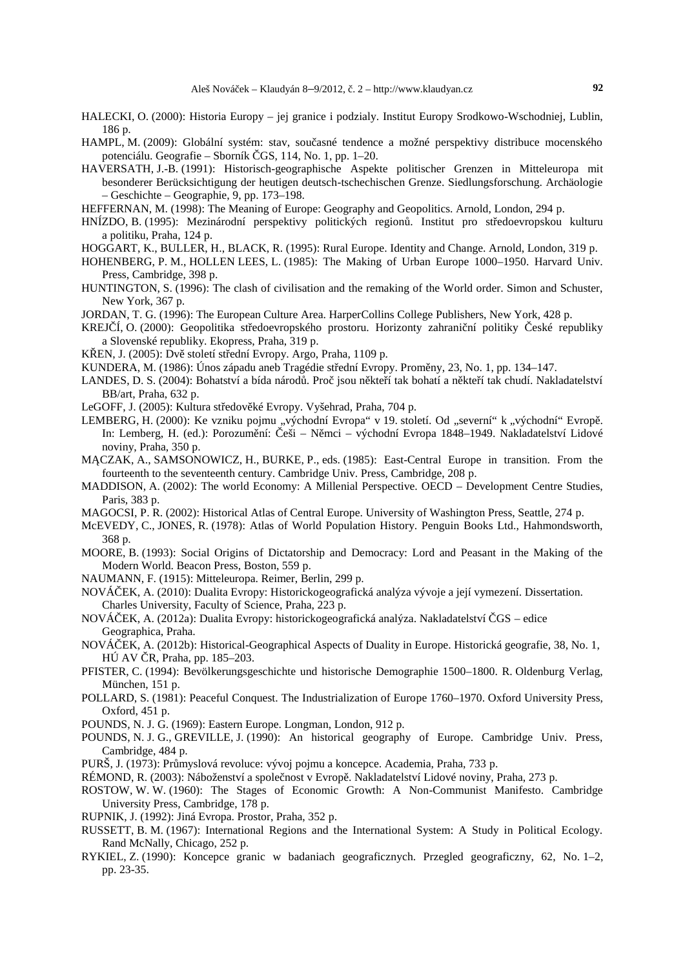- HALECKI, O. (2000): Historia Europy jej granice i podzialy. Institut Europy Srodkowo-Wschodniej, Lublin, 186 p.
- HAMPL, M. (2009): Globální systém: stav, sou asné tendence a možné perspektivy distribuce mocenského potenciálu. Geografie – Sborník ČGS, 114, No. 1, pp. 1–20.
- HAVERSATH, J.-B. (1991): Historisch-geographische Aspekte politischer Grenzen in Mitteleuropa mit besonderer Berücksichtigung der heutigen deutsch-tschechischen Grenze. Siedlungsforschung. Archäologie – Geschichte – Geographie, 9, pp. 173–198.
- HEFFERNAN, M. (1998): The Meaning of Europe: Geography and Geopolitics. Arnold, London, 294 p.
- HNÍZDO, B. (1995): Mezinárodní perspektivy politických region. Institut pro st edoevropskou kulturu a politiku, Praha, 124 p.
- HOGGART, K., BULLER, H., BLACK, R. (1995): Rural Europe. Identity and Change. Arnold, London, 319 p.
- HOHENBERG, P. M., HOLLEN LEES, L. (1985): The Making of Urban Europe 1000–1950. Harvard Univ. Press, Cambridge, 398 p.
- HUNTINGTON, S. (1996): The clash of civilisation and the remaking of the World order. Simon and Schuster, New York, 367 p.
- JORDAN, T. G. (1996): The European Culture Area. HarperCollins College Publishers, New York, 428 p.
- KREJ Í, O. (2000): Geopolitika st edoevropského prostoru. Horizonty zahrani ní politiky eské republiky a Slovenské republiky. Ekopress, Praha, 319 p.
- K EN, J. (2005): Dv století střední Evropy. Argo, Praha, 1109 p.
- KUNDERA, M. (1986): Únos západu aneb Tragédie st ední Evropy. Prom ny, 23, No. 1, pp. 134–147.
- LANDES, D. S. (2004): Bohatství a bída národ. Pro jsou někteří tak bohatí a někteří tak chudí. Nakladatelství BB/art, Praha, 632 p.
- LeGOFF, J. (2005): Kultura st edov ké Evropy. Vyšehrad, Praha, 704 p.
- LEMBERG, H. (2000): Ke vzniku pojmu "východní Evropa" v 19. století. Od "severní" k "východní" Evrop. In: Lemberg, H. (ed.): Porozum ní: eši – N mci – východní Evropa 1848–1949. Nakladatelství Lidové noviny, Praha, 350 p.
- M CZAK, A., SAMSONOWICZ, H., BURKE, P., eds. (1985): East-Central Europe in transition. From the fourteenth to the seventeenth century. Cambridge Univ. Press, Cambridge, 208 p.
- MADDISON, A. (2002): The world Economy: A Millenial Perspective. OECD Development Centre Studies, Paris, 383 p.
- MAGOCSI, P. R. (2002): Historical Atlas of Central Europe. University of Washington Press, Seattle, 274 p.
- McEVEDY, C., JONES, R. (1978): Atlas of World Population History. Penguin Books Ltd., Hahmondsworth, 368 p.
- MOORE, B. (1993): Social Origins of Dictatorship and Democracy: Lord and Peasant in the Making of the Modern World. Beacon Press, Boston, 559 p.
- NAUMANN, F. (1915): Mitteleuropa. Reimer, Berlin, 299 p.
- NOVÁČEK, A. (2010): Dualita Evropy: Historickogeografická analýza vývoje a její vymezení. Dissertation. Charles University, Faculty of Science, Praha, 223 p.
- NOVÁČEK, A. (2012a): Dualita Evropy: historickogeografická analýza. Nakladatelství ČGS edice Geographica, Praha.
- NOVÁČEK, A. (2012b): Historical-Geographical Aspects of Duality in Europe. Historická geografie, 38, No. 1,  $H\acute{U}$  AV  $R$ , Praha, pp. 185–203.
- PFISTER, C. (1994): Bevölkerungsgeschichte und historische Demographie 1500–1800. R. Oldenburg Verlag, München, 151 p.
- POLLARD, S. (1981): Peaceful Conquest. The Industrialization of Europe 1760–1970. Oxford University Press, Oxford, 451 p.
- POUNDS, N. J. G. (1969): Eastern Europe. Longman, London, 912 p.
- POUNDS, N. J. G., GREVILLE, J. (1990): An historical geography of Europe. Cambridge Univ. Press, Cambridge, 484 p.
- PURŠ, J. (1973): Pr myslová revoluce: vývoj pojmu a koncepce. Academia, Praha, 733 p.
- RÉMOND, R. (2003): Náboženství a spole nost v Evrope. Nakladatelství Lidové noviny, Praha, 273 p.
- ROSTOW, W. W. (1960): The Stages of Economic Growth: A Non-Communist Manifesto. Cambridge University Press, Cambridge, 178 p.
- RUPNIK, J. (1992): Jiná Evropa. Prostor, Praha, 352 p.
- RUSSETT, B. M. (1967): International Regions and the International System: A Study in Political Ecology. Rand McNally, Chicago, 252 p.
- RYKIEL, Z. (1990): Koncepce granic w badaniach geograficznych. Przegled geograficzny, 62, No. 1–2, pp. 23-35.